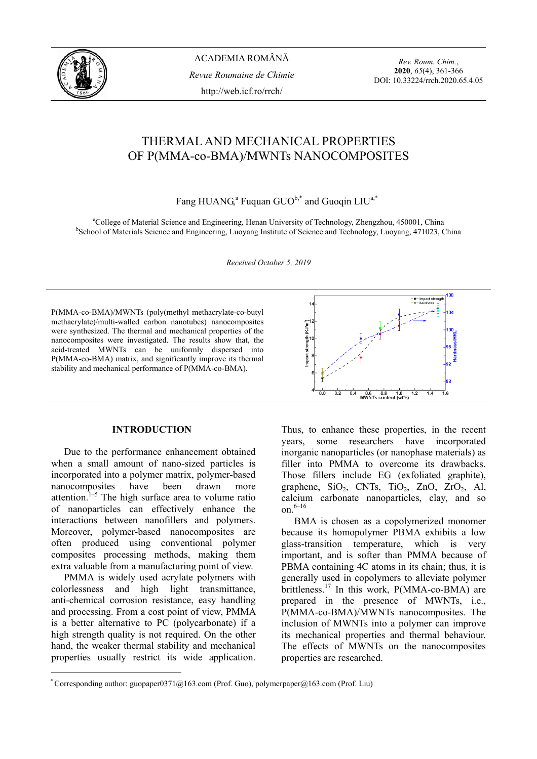

ACADEMIA ROMÂNĂ *Revue Roumaine de Chimie*  http://web.icf.ro/rrch/

*Rev. Roum. Chim.*, **2020**, *65*(4), 361-366 DOI: 10.33224/rrch.2020.65.4.05

# THERMAL AND MECHANICAL PROPERTIES OF P(MMA-co-BMA)/MWNTs NANOCOMPOSITES

Fang HUANG,<sup>a</sup> Fuquan GUO<sup>b,\*</sup> and Guoqin LIU<sup>a,\*</sup>

<sup>a</sup>College of Material Science and Engineering, Henan University of Technology, Zhengzhou, 450001, China behead of Materials Science and Engineering, Luquang Institute of Science and Technology, Luquang 471023, G <sup>b</sup>School of Materials Science and Engineering, Luoyang Institute of Science and Technology, Luoyang, 471023, China

*Received October 5, 2019* 

P(MMA-co-BMA)/MWNTs (poly(methyl methacrylate-co-butyl methacrylate)/multi-walled carbon nanotubes) nanocomposites were synthesized. The thermal and mechanical properties of the nanocomposites were investigated. The results show that, the acid-treated MWNTs can be uniformly dispersed into P(MMA-co-BMA) matrix, and significantly improve its thermal stability and mechanical performance of P(MMA-co-BMA).

## **INTRODUCTION**\*

Due to the performance enhancement obtained when a small amount of nano-sized particles is incorporated into a polymer matrix, polymer-based nanocomposites have been drawn more attention. $1-5$  The high surface area to volume ratio of nanoparticles can effectively enhance the interactions between nanofillers and polymers. Moreover, polymer-based nanocomposites are often produced using conventional polymer composites processing methods, making them extra valuable from a manufacturing point of view.

PMMA is widely used acrylate polymers with colorlessness and high light transmittance, anti-chemical corrosion resistance, easy handling and processing. From a cost point of view, PMMA is a better alternative to PC (polycarbonate) if a high strength quality is not required. On the other hand, the weaker thermal stability and mechanical properties usually restrict its wide application.

 $\overline{a}$ 



Thus, to enhance these properties, in the recent years, some researchers have incorporated inorganic nanoparticles (or nanophase materials) as filler into PMMA to overcome its drawbacks. Those fillers include EG (exfoliated graphite), graphene,  $SiO<sub>2</sub>$ , CNTs, TiO<sub>2</sub>, ZnO, ZrO<sub>2</sub>, Al, calcium carbonate nanoparticles, clay, and so on.6–16

BMA is chosen as a copolymerized monomer because its homopolymer PBMA exhibits a low glass-transition temperature, which is very important, and is softer than PMMA because of PBMA containing 4C atoms in its chain; thus, it is generally used in copolymers to alleviate polymer brittleness.<sup>17</sup> In this work, P(MMA-co-BMA) are prepared in the presence of MWNTs, i.e., P(MMA-co-BMA)/MWNTs nanocomposites. The inclusion of MWNTs into a polymer can improve its mechanical properties and thermal behaviour. The effects of MWNTs on the nanocomposites properties are researched.

<sup>\*</sup> Corresponding author: guopaper0371@163.com (Prof. Guo), polymerpaper@163.com (Prof. Liu)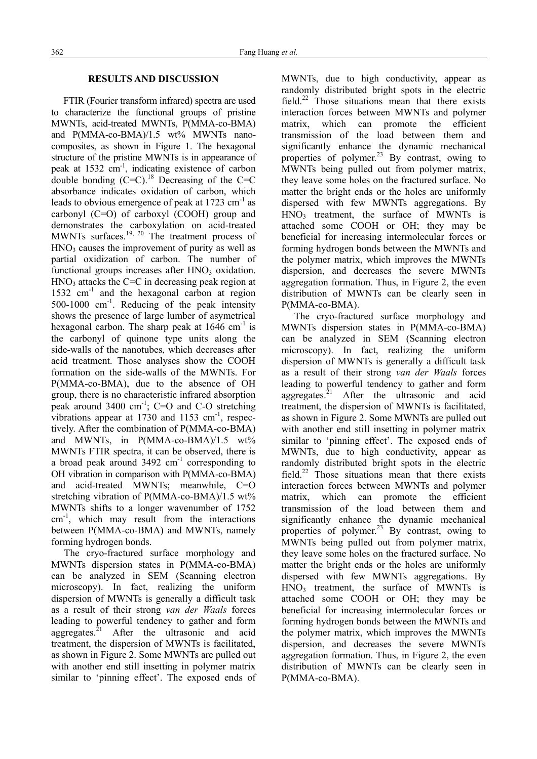### **RESULTS AND DISCUSSION**

FTIR (Fourier transform infrared) spectra are used to characterize the functional groups of pristine MWNTs, acid-treated MWNTs, P(MMA-co-BMA) and P(MMA-co-BMA)/1.5 wt% MWNTs nanocomposites, as shown in Figure 1. The hexagonal structure of the pristine MWNTs is in appearance of peak at 1532 cm-1, indicating existence of carbon double bonding  $(C=C)$ .<sup>18</sup> Decreasing of the C=C absorbance indicates oxidation of carbon, which leads to obvious emergence of peak at  $1723 \text{ cm}^{-1}$  as carbonyl (C=O) of carboxyl (COOH) group and demonstrates the carboxylation on acid-treated MWNTs surfaces.<sup>19, 20</sup> The treatment process of  $HNO<sub>3</sub>$  causes the improvement of purity as well as partial oxidization of carbon. The number of functional groups increases after  $HNO<sub>3</sub>$  oxidation.  $HNO<sub>3</sub>$  attacks the C=C in decreasing peak region at 1532 cm-1 and the hexagonal carbon at region 500-1000 cm-1. Reducing of the peak intensity shows the presence of large lumber of asymetrical hexagonal carbon. The sharp peak at  $1646 \text{ cm}^{-1}$  is the carbonyl of quinone type units along the side-walls of the nanotubes, which decreases after acid treatment. Those analyses show the COOH formation on the side-walls of the MWNTs. For P(MMA-co-BMA), due to the absence of OH group, there is no characteristic infrared absorption peak around  $3400 \text{ cm}^{-1}$ ; C=O and C-O stretching vibrations appear at  $1730$  and  $1153$  cm<sup>-1</sup>, respectively. After the combination of P(MMA-co-BMA) and MWNTs, in P(MMA-co-BMA)/1.5 wt% MWNTs FTIR spectra, it can be observed, there is a broad peak around  $3492 \text{ cm}^{-1}$  corresponding to OH vibration in comparison with P(MMA-co-BMA) and acid-treated MWNTs; meanwhile, C=O stretching vibration of P(MMA-co-BMA)/1.5 wt% MWNTs shifts to a longer wavenumber of 1752  $cm<sup>-1</sup>$ , which may result from the interactions between P(MMA-co-BMA) and MWNTs, namely forming hydrogen bonds.

The cryo-fractured surface morphology and MWNTs dispersion states in P(MMA-co-BMA) can be analyzed in SEM (Scanning electron microscopy). In fact, realizing the uniform dispersion of MWNTs is generally a difficult task as a result of their strong *van der Waals* forces leading to powerful tendency to gather and form aggregates. $^{21}$  After the ultrasonic and acid treatment, the dispersion of MWNTs is facilitated, as shown in Figure 2. Some MWNTs are pulled out with another end still insetting in polymer matrix similar to 'pinning effect'. The exposed ends of MWNTs, due to high conductivity, appear as randomly distributed bright spots in the electric field.<sup>22</sup> Those situations mean that there exists interaction forces between MWNTs and polymer matrix, which can promote the efficient transmission of the load between them and significantly enhance the dynamic mechanical properties of polymer.<sup>23</sup> By contrast, owing to MWNTs being pulled out from polymer matrix, they leave some holes on the fractured surface. No matter the bright ends or the holes are uniformly dispersed with few MWNTs aggregations. By  $HNO<sub>3</sub>$  treatment, the surface of MWNTs is attached some COOH or OH; they may be beneficial for increasing intermolecular forces or forming hydrogen bonds between the MWNTs and the polymer matrix, which improves the MWNTs dispersion, and decreases the severe MWNTs aggregation formation. Thus, in Figure 2, the even distribution of MWNTs can be clearly seen in P(MMA-co-BMA).

The cryo-fractured surface morphology and MWNTs dispersion states in P(MMA-co-BMA) can be analyzed in SEM (Scanning electron microscopy). In fact, realizing the uniform dispersion of MWNTs is generally a difficult task as a result of their strong *van der Waals* forces leading to powerful tendency to gather and form aggregates. $2^1$  After the ultrasonic and acid treatment, the dispersion of MWNTs is facilitated, as shown in Figure 2. Some MWNTs are pulled out with another end still insetting in polymer matrix similar to 'pinning effect'. The exposed ends of MWNTs, due to high conductivity, appear as randomly distributed bright spots in the electric field.<sup>22</sup> Those situations mean that there exists interaction forces between MWNTs and polymer matrix, which can promote the efficient transmission of the load between them and significantly enhance the dynamic mechanical properties of polymer.<sup>23</sup> By contrast, owing to MWNTs being pulled out from polymer matrix, they leave some holes on the fractured surface. No matter the bright ends or the holes are uniformly dispersed with few MWNTs aggregations. By HNO3 treatment, the surface of MWNTs is attached some COOH or OH; they may be beneficial for increasing intermolecular forces or forming hydrogen bonds between the MWNTs and the polymer matrix, which improves the MWNTs dispersion, and decreases the severe MWNTs aggregation formation. Thus, in Figure 2, the even distribution of MWNTs can be clearly seen in P(MMA-co-BMA).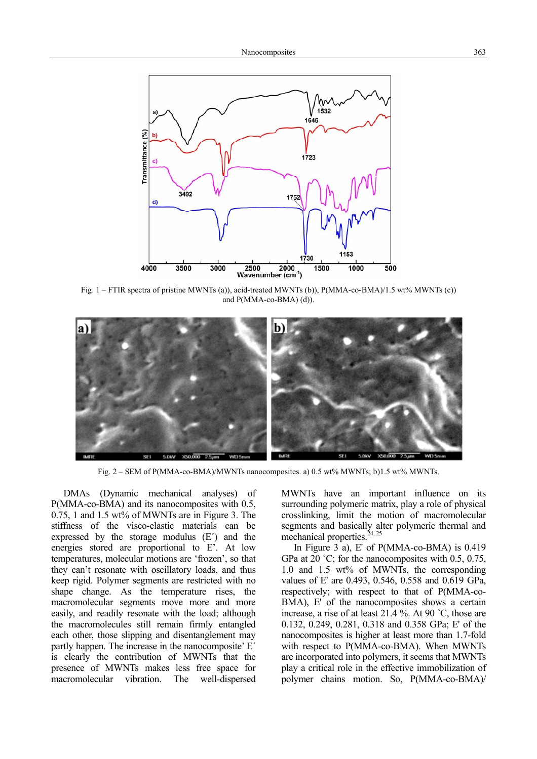

Fig. 1 – FTIR spectra of pristine MWNTs (a)), acid-treated MWNTs (b)), P(MMA-co-BMA)/1.5 wt% MWNTs (c)) and P(MMA-co-BMA) (d)).



Fig. 2 – SEM of P(MMA-co-BMA)/MWNTs nanocomposites. a) 0.5 wt% MWNTs; b)1.5 wt% MWNTs.

DMAs (Dynamic mechanical analyses) of P(MMA-co-BMA) and its nanocomposites with 0.5, 0.75, 1 and 1.5 wt% of MWNTs are in Figure 3. The stiffness of the visco-elastic materials can be expressed by the storage modulus (E´) and the energies stored are proportional to E'. At low temperatures, molecular motions are 'frozen', so that they can't resonate with oscillatory loads, and thus keep rigid. Polymer segments are restricted with no shape change. As the temperature rises, the macromolecular segments move more and more easily, and readily resonate with the load; although the macromolecules still remain firmly entangled each other, those slipping and disentanglement may partly happen. The increase in the nanocomposite' E´ is clearly the contribution of MWNTs that the presence of MWNTs makes less free space for macromolecular vibration. The well-dispersed MWNTs have an important influence on its surrounding polymeric matrix, play a role of physical crosslinking, limit the motion of macromolecular segments and basically alter polymeric thermal and mechanical properties. $24, 25$ 

In Figure 3 a), E' of P(MMA-co-BMA) is 0.419 GPa at 20 ˚C; for the nanocomposites with 0.5, 0.75, 1.0 and 1.5 wt% of MWNTs, the corresponding values of E' are 0.493, 0.546, 0.558 and 0.619 GPa, respectively; with respect to that of P(MMA-co-BMA), E' of the nanocomposites shows a certain increase, a rise of at least 21.4 %. At 90 ˚C, those are 0.132, 0.249, 0.281, 0.318 and 0.358 GPa; E' of the nanocomposites is higher at least more than 1.7-fold with respect to P(MMA-co-BMA). When MWNTs are incorporated into polymers, it seems that MWNTs play a critical role in the effective immobilization of polymer chains motion. So, P(MMA-co-BMA)/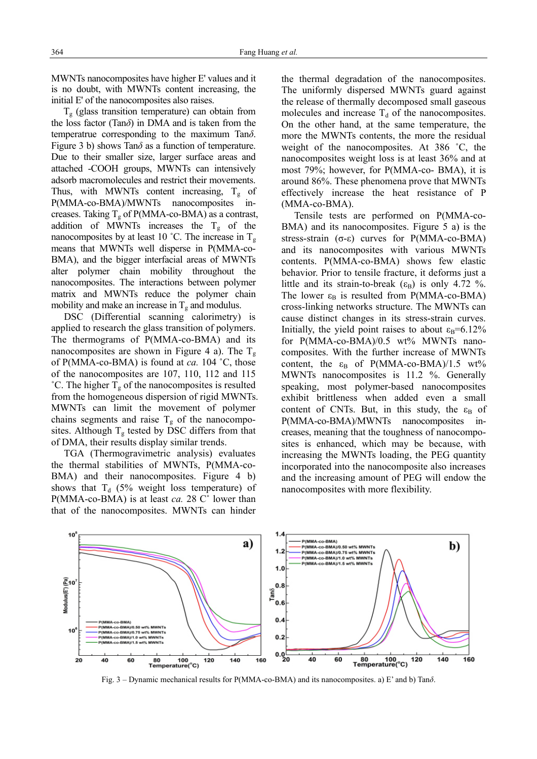MWNTs nanocomposites have higher E' values and it is no doubt, with MWNTs content increasing, the initial E' of the nanocomposites also raises.

 $T<sub>g</sub>$  (glass transition temperature) can obtain from the loss factor (Tan*δ*) in DMA and is taken from the temperatrue corresponding to the maximum Tan*δ*. Figure 3 b) shows  $\text{Tan}\delta$  as a function of temperature. Due to their smaller size, larger surface areas and attached -COOH groups, MWNTs can intensively adsorb macromolecules and restrict their movements. Thus, with MWNTs content increasing,  $T_g$  of P(MMA-co-BMA)/MWNTs nanocomposites increases. Taking  $T<sub>e</sub>$  of P(MMA-co-BMA) as a contrast, addition of MWNTs increases the  $T_g$  of the nanocomposites by at least 10 °C. The increase in  $T_{\varphi}$ means that MWNTs well disperse in P(MMA-co-BMA), and the bigger interfacial areas of MWNTs alter polymer chain mobility throughout the nanocomposites. The interactions between polymer matrix and MWNTs reduce the polymer chain mobility and make an increase in  $T<sub>g</sub>$  and modulus.

DSC (Differential scanning calorimetry) is applied to research the glass transition of polymers. The thermograms of P(MMA-co-BMA) and its nanocomposites are shown in Figure 4 a). The  $T_{\varphi}$ of P(MMA-co-BMA) is found at *ca.* 104 ˚C, those of the nanocomposites are 107, 110, 112 and 115 <sup>°</sup>C. The higher  $T_g$  of the nanocomposites is resulted from the homogeneous dispersion of rigid MWNTs. MWNTs can limit the movement of polymer chains segments and raise  $T_g$  of the nanocomposites. Although  $T_g$  tested by DSC differs from that of DMA, their results display similar trends.

TGA (Thermogravimetric analysis) evaluates the thermal stabilities of MWNTs, P(MMA-co-BMA) and their nanocomposites. Figure 4 b) shows that  $T_d$  (5% weight loss temperature) of P(MMA-co-BMA) is at least *ca.* 28 C˚ lower than that of the nanocomposites. MWNTs can hinder the thermal degradation of the nanocomposites. The uniformly dispersed MWNTs guard against the release of thermally decomposed small gaseous molecules and increase  $T_d$  of the nanocomposites. On the other hand, at the same temperature, the more the MWNTs contents, the more the residual weight of the nanocomposites. At 386 ˚C, the nanocomposites weight loss is at least 36% and at most 79%; however, for P(MMA-co- BMA), it is around 86%. These phenomena prove that MWNTs effectively increase the heat resistance of P (MMA-co-BMA).

Tensile tests are performed on P(MMA-co-BMA) and its nanocomposites. Figure 5 a) is the stress-strain (σ-ε) curves for P(MMA-co-BMA) and its nanocomposites with various MWNTs contents. P(MMA-co-BMA) shows few elastic behavior. Prior to tensile fracture, it deforms just a little and its strain-to-break  $(\epsilon_B)$  is only 4.72 %. The lower  $\varepsilon_B$  is resulted from P(MMA-co-BMA) cross-linking networks structure. The MWNTs can cause distinct changes in its stress-strain curves. Initially, the yield point raises to about  $\varepsilon_B = 6.12\%$ for P(MMA-co-BMA)/0.5 wt% MWNTs nanocomposites. With the further increase of MWNTs content, the  $\varepsilon_B$  of P(MMA-co-BMA)/1.5 wt% MWNTs nanocomposites is 11.2 %. Generally speaking, most polymer-based nanocomposites exhibit brittleness when added even a small content of CNTs. But, in this study, the  $\varepsilon_{\rm B}$  of P(MMA-co-BMA)/MWNTs nanocomposites increases, meaning that the toughness of nanocomposites is enhanced, which may be because, with increasing the MWNTs loading, the PEG quantity incorporated into the nanocomposite also increases and the increasing amount of PEG will endow the nanocomposites with more flexibility.



Fig. 3 – Dynamic mechanical results for P(MMA-co-BMA) and its nanocomposites. a) E' and b) Tan*δ*.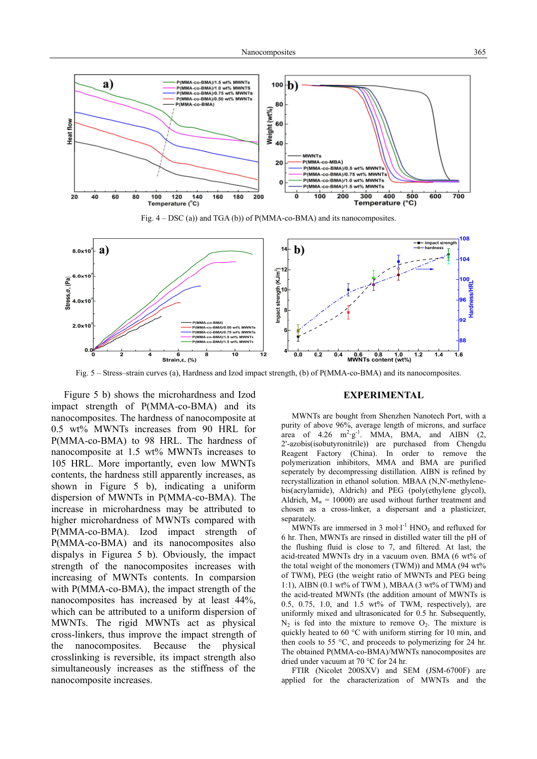

Fig. 4 – DSC (a)) and TGA (b)) of P(MMA-co-BMA) and its nanocomposites.



Fig. 5 – Stress–strain curves (a), Hardness and Izod impact strength, (b) of P(MMA-co-BMA) and its nanocomposites.

Figure 5 b) shows the microhardness and Izod impact strength of P(MMA-co-BMA) and its nanocomposites. The hardness of nanocomposite at 0.5 wt% MWNTs increases from 90 HRL for P(MMA-co-BMA) to 98 HRL. The hardness of nanocomposite at 1.5 wt% MWNTs increases to 105 HRL. More importantly, even low MWNTs contents, the hardness still apparently increases, as shown in Figure 5 b), indicating a uniform dispersion of MWNTs in P(MMA-co-BMA). The increase in microhardness may be attributed to higher microhardness of MWNTs compared with P(MMA-co-BMA). Izod impact strength of P(MMA-co-BMA) and its nanocomposites also dispalys in Figurea 5 b). Obviously, the impact strength of the nanocomposites increases with increasing of MWNTs contents. In comparsion with P(MMA-co-BMA), the impact strength of the nanocomposites has increased by at least 44%, which can be attributed to a uniform dispersion of MWNTs. The rigid MWNTs act as physical cross-linkers, thus improve the impact strength of the nanocomposites. Because the physical crosslinking is reversible, its impact strength also simultaneously increases as the stiffness of the nanocomposite increases.

#### **EXPERIMENTAL**

MWNTs are bought from Shenzhen Nanotech Port, with a purity of above 96%, average length of microns, and surface area of  $4.26 \text{ m}^2 \text{·g}^1$ . MMA, BMA, and AIBN  $(2, 1)$ 2'-azobis(isobutyronitrile)) are purchased from Chengdu Reagent Factory (China). In order to remove the polymerization inhibitors, MMA and BMA are purified seperately by decompressing distillation. AIBN is refined by recrystallization in ethanol solution. MBAA (N,N'-methylenebis(acrylamide), Aldrich) and PEG (poly(ethylene glycol), Aldrich,  $M_w = 10000$  are used without further treatment and chosen as a cross-linker, a dispersant and a plasticizer, separately.

MWNTs are immersed in 3 mol·l<sup>-1</sup> HNO<sub>3</sub> and refluxed for 6 hr. Then, MWNTs are rinsed in distilled water till the pH of the flushing fluid is close to 7, and filtered. At last, the acid-treated MWNTs dry in a vacuum oven. BMA (6 wt% of the total weight of the monomers (TWM)) and MMA (94 wt% of TWM), PEG (the weight ratio of MWNTs and PEG being 1:1), AIBN (0.1 wt% of TWM ), MBAA (3 wt% of TWM) and the acid-treated MWNTs (the addition amount of MWNTs is 0.5, 0.75, 1.0, and 1.5 wt% of TWM, respectively), are uniformly mixed and ultrasonicated for 0.5 hr. Subsequently,  $N_2$  is fed into the mixture to remove  $O_2$ . The mixture is quickly heated to 60 °C with uniform stirring for 10 min, and then cools to 55 °C, and proceeds to polymerizing for 24 hr. The obtained P(MMA-co-BMA)/MWNTs nanocomposites are dried under vacuum at 70 °C for 24 hr.

FTIR (Nicolet 200SXV) and SEM (JSM-6700F) are applied for the characterization of MWNTs and the